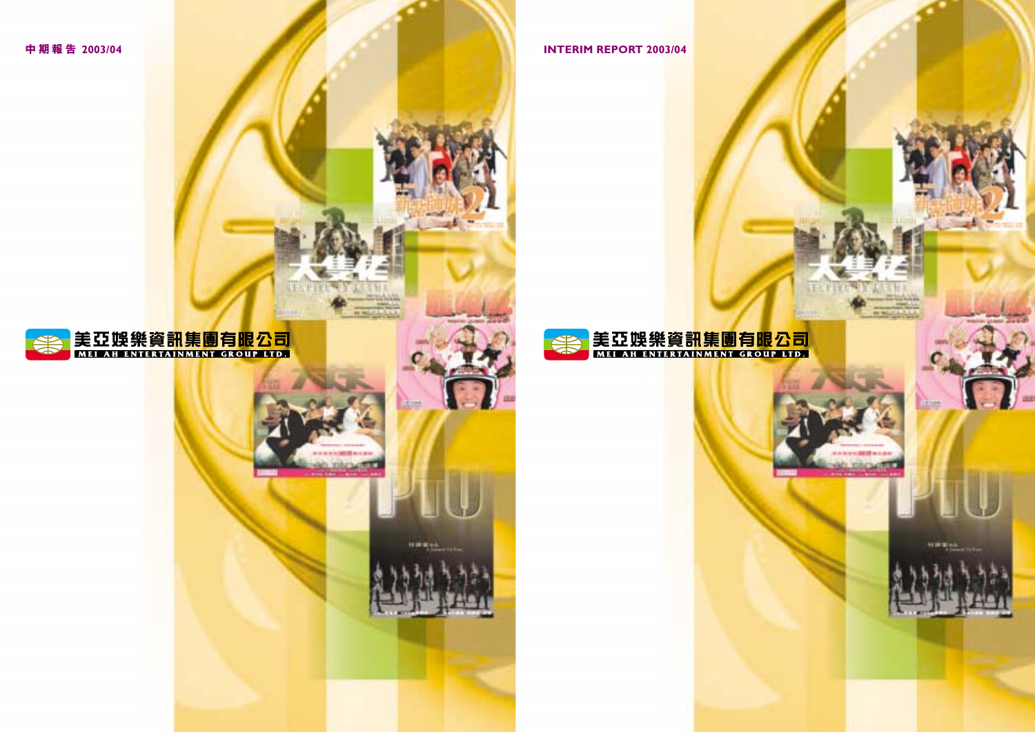### **中期報告 2003/04 INTERIM REPORT 2003/04**



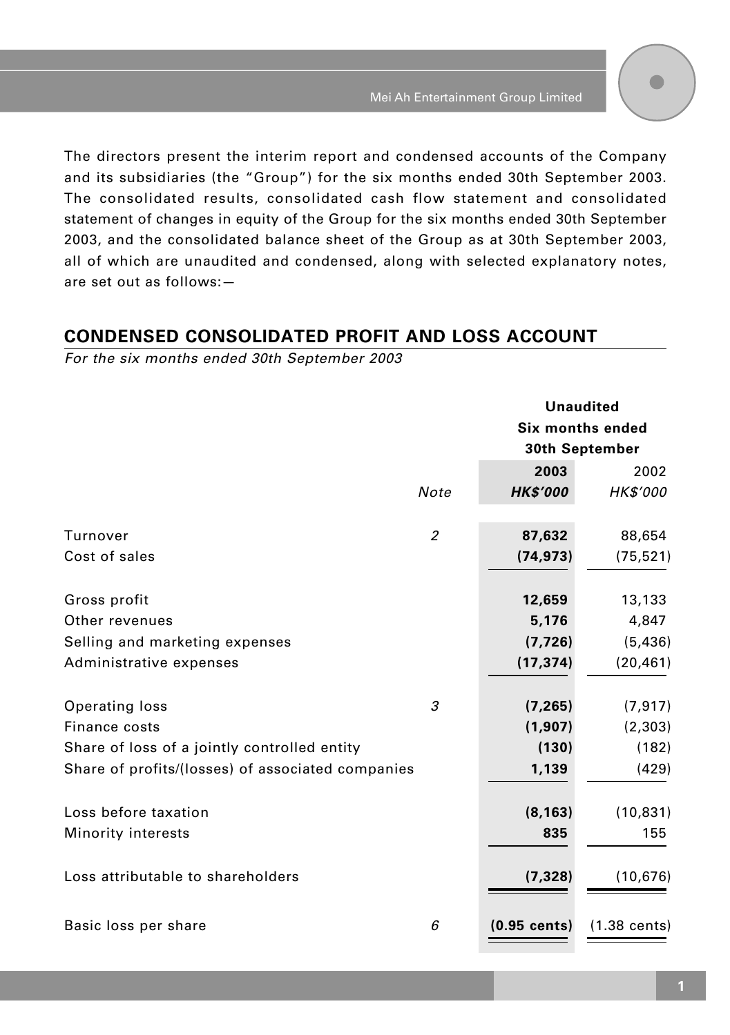The directors present the interim report and condensed accounts of the Company and its subsidiaries (the "Group") for the six months ended 30th September 2003. The consolidated results, consolidated cash flow statement and consolidated statement of changes in equity of the Group for the six months ended 30th September 2003, and the consolidated balance sheet of the Group as at 30th September 2003, all of which are unaudited and condensed, along with selected explanatory notes, are set out as follows:—

### **CONDENSED CONSOLIDATED PROFIT AND LOSS ACCOUNT**

For the six months ended 30th September 2003

|                                                   |                | <b>Unaudited</b><br>Six months ended<br>30th September |                        |
|---------------------------------------------------|----------------|--------------------------------------------------------|------------------------|
|                                                   |                |                                                        |                        |
|                                                   |                |                                                        |                        |
|                                                   |                | 2003                                                   | 2002                   |
|                                                   | Note           | <b>HK\$'000</b>                                        | <b>HK\$'000</b>        |
|                                                   |                |                                                        |                        |
| Turnover                                          | $\overline{2}$ | 87,632                                                 | 88,654                 |
| Cost of sales                                     |                | (74, 973)                                              | (75, 521)              |
| Gross profit                                      |                | 12,659                                                 | 13,133                 |
| Other revenues                                    |                | 5,176                                                  | 4,847                  |
| Selling and marketing expenses                    |                | (7, 726)                                               | (5, 436)               |
| Administrative expenses                           |                | (17, 374)                                              | (20, 461)              |
|                                                   |                |                                                        |                        |
| Operating loss                                    | 3              | (7, 265)                                               | (7, 917)               |
| Finance costs                                     |                | (1,907)                                                | (2,303)                |
| Share of loss of a jointly controlled entity      |                | (130)                                                  | (182)                  |
| Share of profits/(losses) of associated companies |                | 1,139                                                  | (429)                  |
|                                                   |                |                                                        |                        |
| Loss before taxation                              |                | (8, 163)                                               | (10, 831)              |
| Minority interests                                |                | 835                                                    | 155                    |
| Loss attributable to shareholders                 |                | (7, 328)                                               | (10, 676)              |
| Basic loss per share                              | 6              | $(0.95$ cents)                                         | $(1.38 \text{ cents})$ |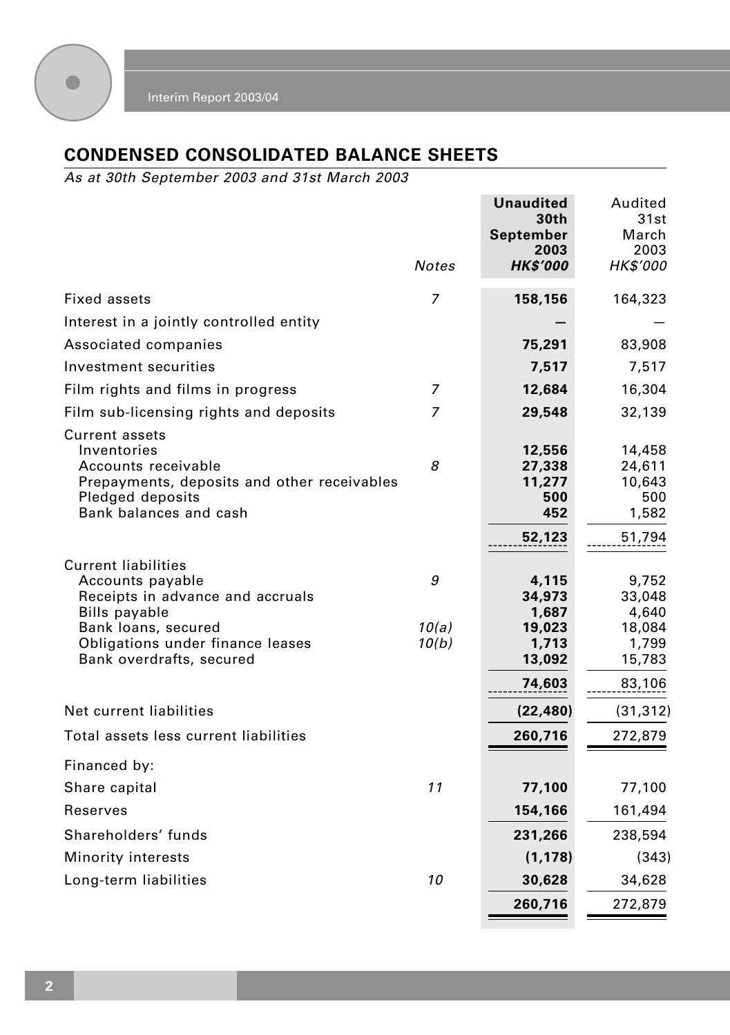

# **CONDENSED CONSOLIDATED BALANCE SHEETS**

As at 30th September 2003 and 31st March 2003

|                                                                                                                                                                                                                                                                                                                                                               | Notes                    | Unaudited<br>30th<br>September<br>2003<br><b>HK\$'000</b>                                                             | Audited<br>31st<br>March<br>2003<br>HK\$'000                                                                            |
|---------------------------------------------------------------------------------------------------------------------------------------------------------------------------------------------------------------------------------------------------------------------------------------------------------------------------------------------------------------|--------------------------|-----------------------------------------------------------------------------------------------------------------------|-------------------------------------------------------------------------------------------------------------------------|
| Fixed assets                                                                                                                                                                                                                                                                                                                                                  | 7                        | 158,156                                                                                                               | 164,323                                                                                                                 |
| Interest in a jointly controlled entity                                                                                                                                                                                                                                                                                                                       |                          |                                                                                                                       |                                                                                                                         |
| Associated companies                                                                                                                                                                                                                                                                                                                                          |                          | 75,291                                                                                                                | 83,908                                                                                                                  |
| Investment securities                                                                                                                                                                                                                                                                                                                                         |                          | 7,517                                                                                                                 | 7,517                                                                                                                   |
| Film rights and films in progress                                                                                                                                                                                                                                                                                                                             | 7                        | 12,684                                                                                                                | 16,304                                                                                                                  |
| Film sub-licensing rights and deposits                                                                                                                                                                                                                                                                                                                        | 7                        | 29,548                                                                                                                | 32,139                                                                                                                  |
| <b>Current assets</b><br>Inventories<br>Accounts receivable<br>Prepayments, deposits and other receivables<br>Pledged deposits<br>Bank balances and cash<br><b>Current liabilities</b><br>Accounts payable<br>Receipts in advance and accruals<br><b>Bills payable</b><br>Bank loans, secured<br>Obligations under finance leases<br>Bank overdrafts, secured | 8<br>9<br>10(a)<br>10(b) | 12,556<br>27,338<br>11,277<br>500<br>452<br>52,123<br>4,115<br>34,973<br>1,687<br>19,023<br>1,713<br>13,092<br>74,603 | 14,458<br>24,611<br>10,643<br>500<br>1,582<br>51,794<br>9,752<br>33,048<br>4,640<br>18,084<br>1,799<br>15,783<br>83,106 |
| Net current liabilities                                                                                                                                                                                                                                                                                                                                       |                          | (22, 480)                                                                                                             | (31, 312)                                                                                                               |
| Total assets less current liabilities                                                                                                                                                                                                                                                                                                                         |                          | 260,716                                                                                                               | 272,879                                                                                                                 |
| Financed by:<br>Share capital<br>Reserves<br>Shareholders' funds<br>Minority interests                                                                                                                                                                                                                                                                        | 11                       | 77,100<br>154,166<br>231,266<br>(1, 178)                                                                              | 77,100<br>161,494<br>238,594<br>(343)                                                                                   |
| Long-term liabilities                                                                                                                                                                                                                                                                                                                                         | 10                       | 30,628                                                                                                                | 34,628                                                                                                                  |
|                                                                                                                                                                                                                                                                                                                                                               |                          | 260,716                                                                                                               | 272,879                                                                                                                 |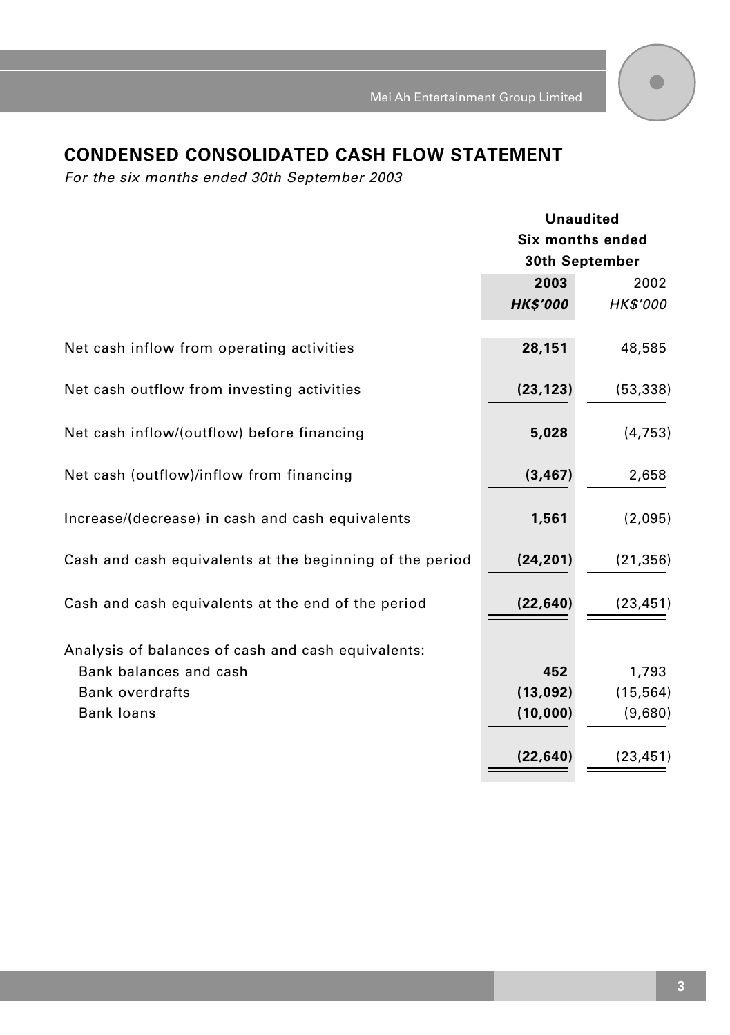# **CONDENSED CONSOLIDATED CASH FLOW STATEMENT**

For the six months ended 30th September 2003

|                                                          | <b>Unaudited</b><br>Six months ended<br>30th September |                 |
|----------------------------------------------------------|--------------------------------------------------------|-----------------|
|                                                          |                                                        |                 |
|                                                          |                                                        |                 |
|                                                          | 2003                                                   | 2002            |
|                                                          | <b>HK\$'000</b>                                        | <b>HK\$'000</b> |
| Net cash inflow from operating activities                | 28,151                                                 | 48,585          |
|                                                          |                                                        |                 |
| Net cash outflow from investing activities               | (23, 123)                                              | (53, 338)       |
| Net cash inflow/(outflow) before financing               | 5,028                                                  | (4, 753)        |
| Net cash (outflow)/inflow from financing                 | (3, 467)                                               | 2,658           |
| Increase/(decrease) in cash and cash equivalents         | 1,561                                                  | (2,095)         |
| Cash and cash equivalents at the beginning of the period | (24, 201)                                              | (21, 356)       |
| Cash and cash equivalents at the end of the period       | (22, 640)                                              | (23, 451)       |
| Analysis of balances of cash and cash equivalents:       |                                                        |                 |
| Bank balances and cash                                   | 452                                                    | 1,793           |
| <b>Bank overdrafts</b>                                   | (13,092)                                               | (15, 564)       |
| <b>Bank loans</b>                                        | (10,000)                                               | (9,680)         |
|                                                          |                                                        |                 |
|                                                          | (22,640)                                               | (23, 451)       |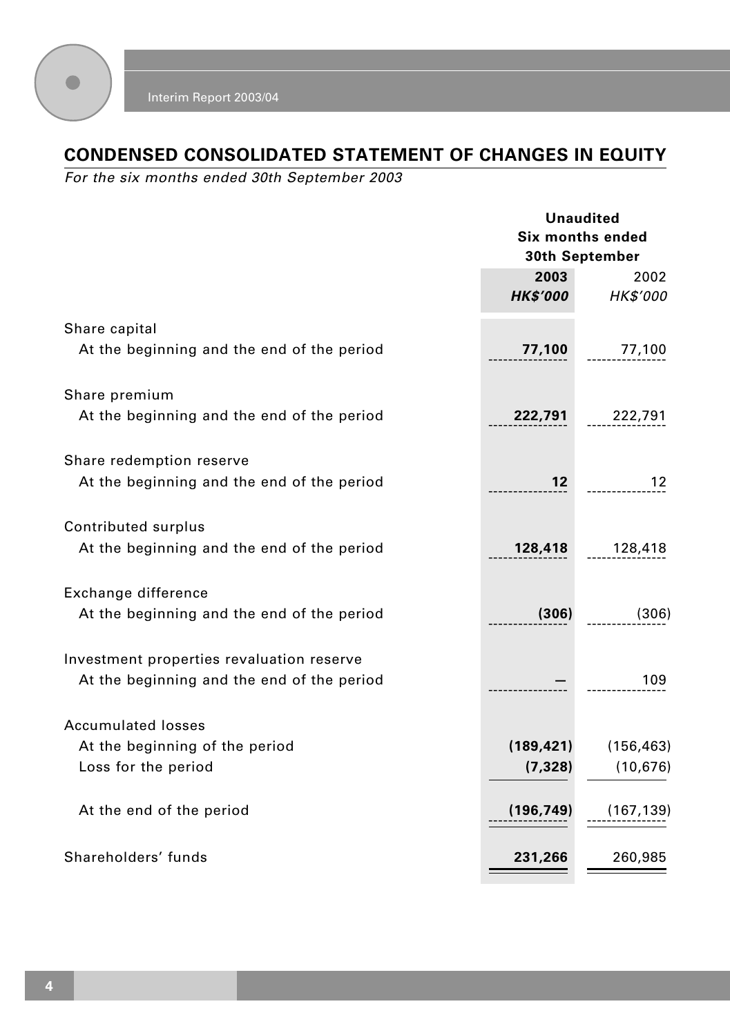

# **CONDENSED CONSOLIDATED STATEMENT OF CHANGES IN EQUITY**

For the six months ended 30th September 2003

|                                                                                         | <b>Unaudited</b><br><b>Six months ended</b><br>30th September |                         |
|-----------------------------------------------------------------------------------------|---------------------------------------------------------------|-------------------------|
|                                                                                         | 2003<br><b>HK\$'000</b>                                       | 2002<br><b>HK\$'000</b> |
| Share capital<br>At the beginning and the end of the period                             | 77,100                                                        | 77,100                  |
| Share premium<br>At the beginning and the end of the period                             | 222,791                                                       | 222,791                 |
| Share redemption reserve<br>At the beginning and the end of the period                  | 12 <sup>12</sup>                                              | 12                      |
| Contributed surplus<br>At the beginning and the end of the period                       | 128,418                                                       | 128,418                 |
| Exchange difference<br>At the beginning and the end of the period                       | (306)                                                         | (306)                   |
| Investment properties revaluation reserve<br>At the beginning and the end of the period |                                                               | 109                     |
| <b>Accumulated losses</b><br>At the beginning of the period<br>Loss for the period      | (189, 421)<br>(7, 328)                                        | (156, 463)<br>(10, 676) |
| At the end of the period                                                                | (196,749)                                                     | (167, 139)              |
| Shareholders' funds                                                                     | 231,266                                                       | 260,985                 |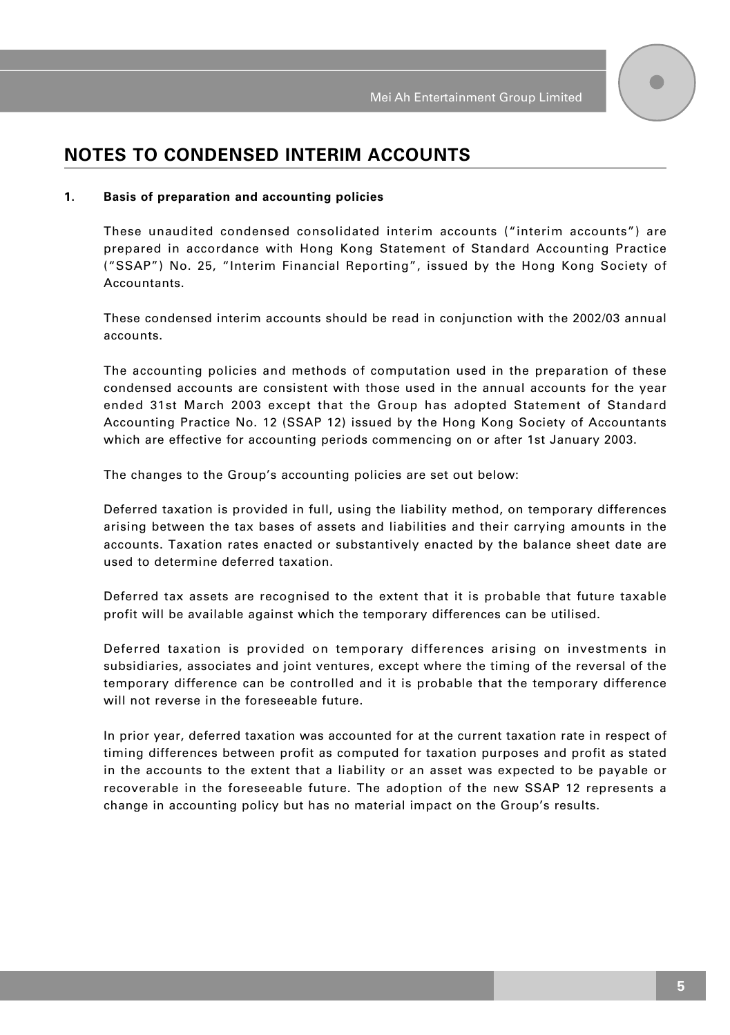## **NOTES TO CONDENSED INTERIM ACCOUNTS**

#### **1. Basis of preparation and accounting policies**

These unaudited condensed consolidated interim accounts ("interim accounts") are prepared in accordance with Hong Kong Statement of Standard Accounting Practice ("SSAP") No. 25, "Interim Financial Reporting", issued by the Hong Kong Society of Accountants.

These condensed interim accounts should be read in conjunction with the 2002/03 annual accounts.

The accounting policies and methods of computation used in the preparation of these condensed accounts are consistent with those used in the annual accounts for the year ended 31st March 2003 except that the Group has adopted Statement of Standard Accounting Practice No. 12 (SSAP 12) issued by the Hong Kong Society of Accountants which are effective for accounting periods commencing on or after 1st January 2003.

The changes to the Group's accounting policies are set out below:

Deferred taxation is provided in full, using the liability method, on temporary differences arising between the tax bases of assets and liabilities and their carrying amounts in the accounts. Taxation rates enacted or substantively enacted by the balance sheet date are used to determine deferred taxation.

Deferred tax assets are recognised to the extent that it is probable that future taxable profit will be available against which the temporary differences can be utilised.

Deferred taxation is provided on temporary differences arising on investments in subsidiaries, associates and joint ventures, except where the timing of the reversal of the temporary difference can be controlled and it is probable that the temporary difference will not reverse in the foreseeable future.

In prior year, deferred taxation was accounted for at the current taxation rate in respect of timing differences between profit as computed for taxation purposes and profit as stated in the accounts to the extent that a liability or an asset was expected to be payable or recoverable in the foreseeable future. The adoption of the new SSAP 12 represents a change in accounting policy but has no material impact on the Group's results.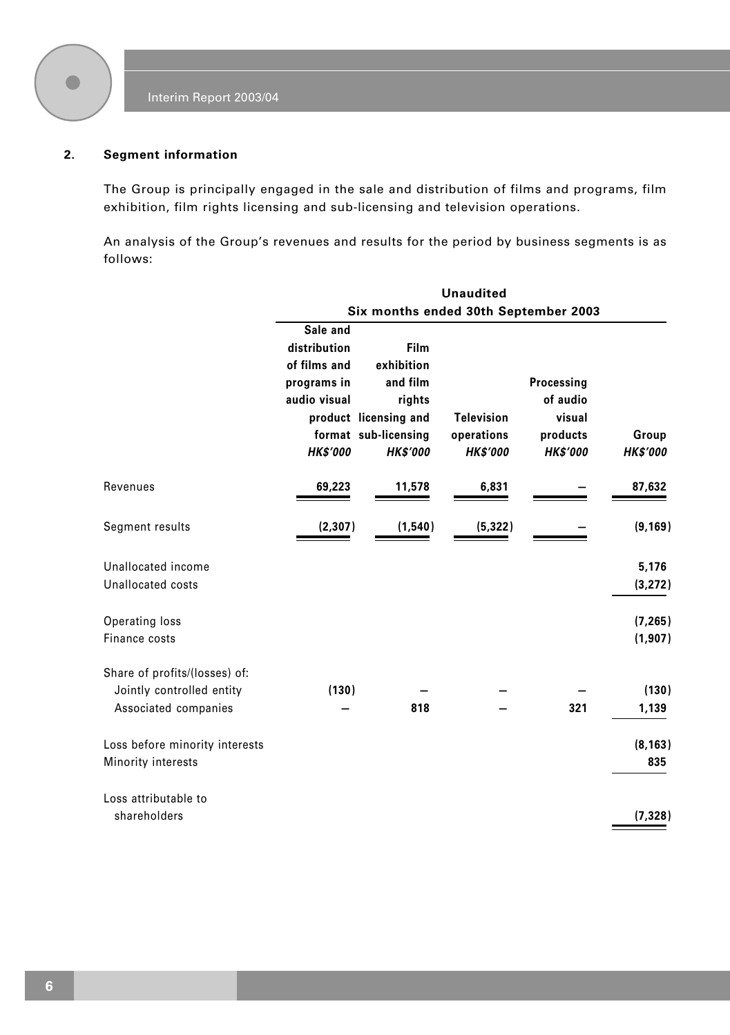

### **2. Segment information**

The Group is principally engaged in the sale and distribution of films and programs, film exhibition, film rights licensing and sub-licensing and television operations.

An analysis of the Group's revenues and results for the period by business segments is as follows:

|                                                                                    |                                                                                            |                                                                                                              | <b>Unaudited</b>                                   |                                                                 |                          |
|------------------------------------------------------------------------------------|--------------------------------------------------------------------------------------------|--------------------------------------------------------------------------------------------------------------|----------------------------------------------------|-----------------------------------------------------------------|--------------------------|
|                                                                                    |                                                                                            | Six months ended 30th September 2003                                                                         |                                                    |                                                                 |                          |
|                                                                                    | Sale and<br>distribution<br>of films and<br>programs in<br>audio visual<br><b>HK\$'000</b> | Film<br>exhibition<br>and film<br>rights<br>product licensing and<br>format sub-licensing<br><b>HK\$'000</b> | <b>Television</b><br>operations<br><b>HK\$'000</b> | Processing<br>of audio<br>visual<br>products<br><b>HK\$'000</b> | Group<br><b>HK\$'000</b> |
| Revenues                                                                           | 69,223                                                                                     | 11,578                                                                                                       | 6,831                                              |                                                                 | 87,632                   |
| Segment results                                                                    | (2, 307)                                                                                   | (1,540)                                                                                                      | (5, 322)                                           |                                                                 | (9, 169)                 |
| Unallocated income<br>Unallocated costs                                            |                                                                                            |                                                                                                              |                                                    |                                                                 | 5,176<br>(3, 272)        |
| Operating loss<br>Finance costs                                                    |                                                                                            |                                                                                                              |                                                    |                                                                 | (7, 265)<br>(1, 907)     |
| Share of profits/(losses) of:<br>Jointly controlled entity<br>Associated companies | (130)                                                                                      | 818                                                                                                          |                                                    | 321                                                             | (130)<br>1,139           |
| Loss before minority interests<br>Minority interests                               |                                                                                            |                                                                                                              |                                                    |                                                                 | (8, 163)<br>835          |
| Loss attributable to<br>shareholders                                               |                                                                                            |                                                                                                              |                                                    |                                                                 | (7, 328)                 |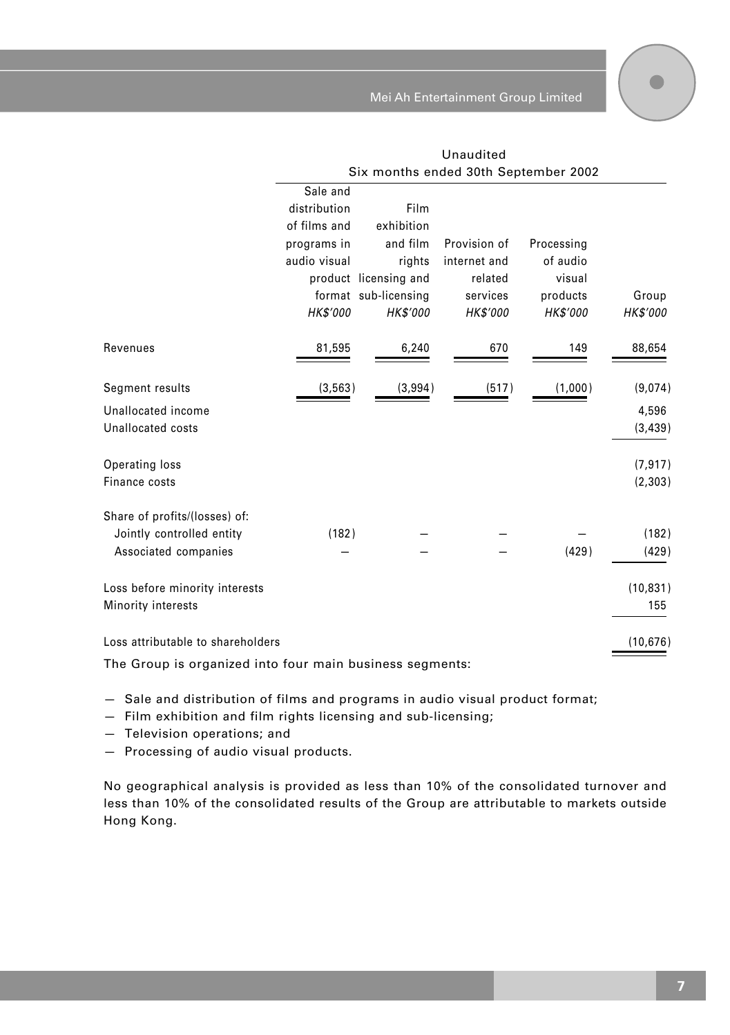Mei Ah Entertainment Group Limited

Unaudited

|                                   |              |                       | Six months ended 30th September 2002 |            |                 |
|-----------------------------------|--------------|-----------------------|--------------------------------------|------------|-----------------|
|                                   | Sale and     |                       |                                      |            |                 |
|                                   | distribution | Film                  |                                      |            |                 |
|                                   | of films and | exhibition            |                                      |            |                 |
|                                   | programs in  | and film              | Provision of                         | Processing |                 |
|                                   | audio visual | rights                | internet and                         | of audio   |                 |
|                                   |              | product licensing and | related                              | visual     |                 |
|                                   |              | format sub-licensing  | services                             | products   | Group           |
|                                   | HK\$'000     | HK\$'000              | HK\$'000                             | HK\$'000   | <b>HK\$'000</b> |
| Revenues                          | 81,595       | 6,240                 | 670                                  | 149        | 88,654          |
| Segment results                   | (3, 563)     | (3,994)               | (517)                                | (1,000)    | (9,074)         |
| Unallocated income                |              |                       |                                      |            | 4,596           |
| Unallocated costs                 |              |                       |                                      |            | (3, 439)        |
|                                   |              |                       |                                      |            |                 |
| Operating loss                    |              |                       |                                      |            | (7, 917)        |
| Finance costs                     |              |                       |                                      |            | (2, 303)        |
| Share of profits/(losses) of:     |              |                       |                                      |            |                 |
| Jointly controlled entity         | (182)        |                       |                                      |            | (182)           |
| Associated companies              |              |                       |                                      | (429)      | (429)           |
| Loss before minority interests    |              |                       |                                      |            | (10, 831)       |
| Minority interests                |              |                       |                                      |            | 155             |
|                                   |              |                       |                                      |            |                 |
| Loss attributable to shareholders |              |                       |                                      |            | (10, 676)       |

The Group is organized into four main business segments:

— Sale and distribution of films and programs in audio visual product format;

— Film exhibition and film rights licensing and sub-licensing;

— Television operations; and

— Processing of audio visual products.

No geographical analysis is provided as less than 10% of the consolidated turnover and less than 10% of the consolidated results of the Group are attributable to markets outside Hong Kong.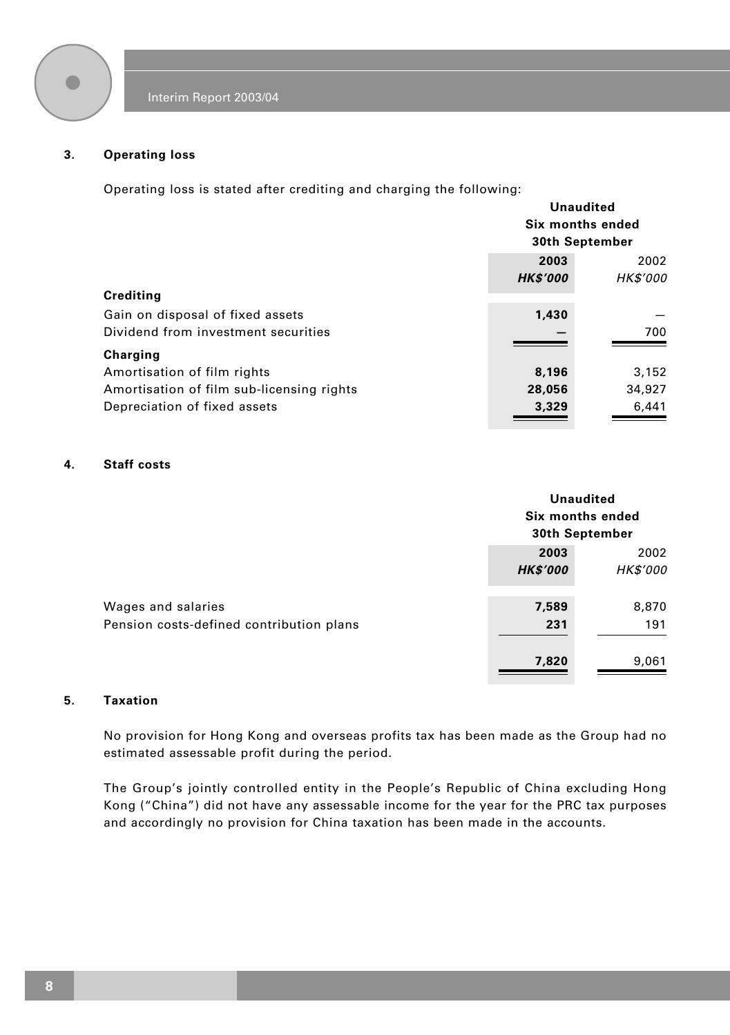

#### **3. Operating loss**

Operating loss is stated after crediting and charging the following:

|                                           |                 | Unaudited        |
|-------------------------------------------|-----------------|------------------|
|                                           |                 | Six months ended |
|                                           |                 | 30th September   |
|                                           | 2003            | 2002             |
|                                           | <b>HK\$'000</b> | <b>HK\$'000</b>  |
| Crediting                                 |                 |                  |
| Gain on disposal of fixed assets          | 1.430           |                  |
| Dividend from investment securities       |                 | 700              |
| Charging                                  |                 |                  |
| Amortisation of film rights               | 8,196           | 3,152            |
| Amortisation of film sub-licensing rights | 28,056          | 34,927           |
| Depreciation of fixed assets              | 3,329           | 6,441            |
|                                           |                 |                  |

### **4. Staff costs**

|                                                                |                         | Unaudited<br>Six months ended<br>30th September |  |
|----------------------------------------------------------------|-------------------------|-------------------------------------------------|--|
|                                                                | 2003<br><b>HK\$'000</b> | 2002<br><b>HK\$'000</b>                         |  |
| Wages and salaries<br>Pension costs-defined contribution plans | 7,589<br>231            | 8,870<br>191                                    |  |
|                                                                | 7,820                   | 9,061                                           |  |

#### **5. Taxation**

No provision for Hong Kong and overseas profits tax has been made as the Group had no estimated assessable profit during the period.

The Group's jointly controlled entity in the People's Republic of China excluding Hong Kong ("China") did not have any assessable income for the year for the PRC tax purposes and accordingly no provision for China taxation has been made in the accounts.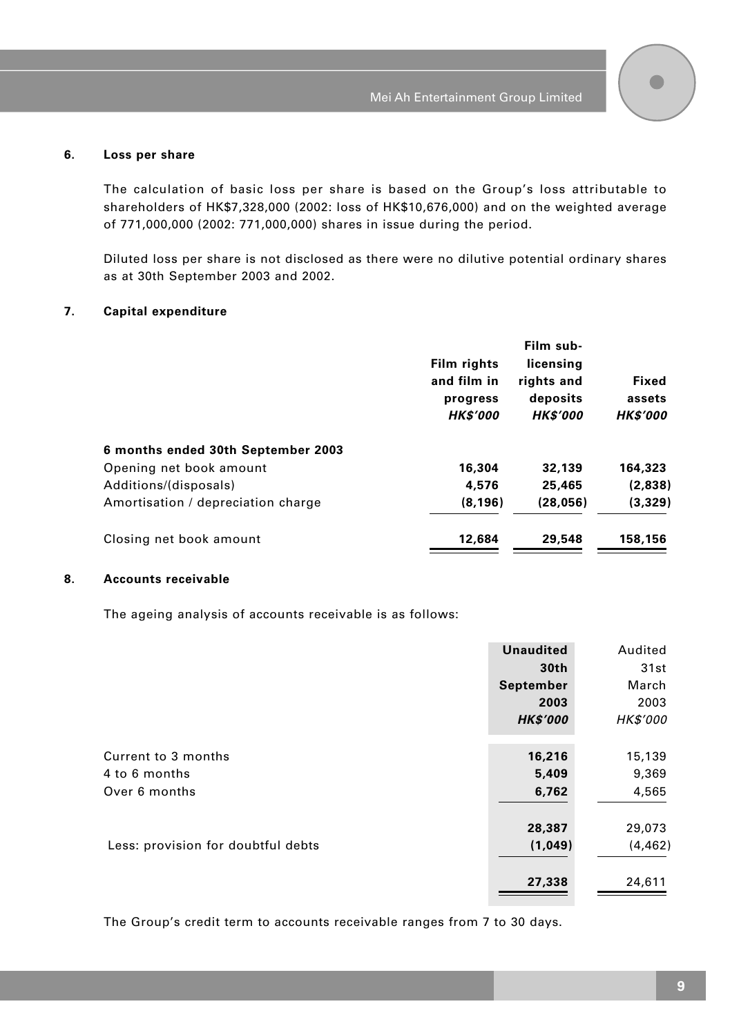#### **6. Loss per share**

The calculation of basic loss per share is based on the Group's loss attributable to shareholders of HK\$7,328,000 (2002: loss of HK\$10,676,000) and on the weighted average of 771,000,000 (2002: 771,000,000) shares in issue during the period.

Diluted loss per share is not disclosed as there were no dilutive potential ordinary shares as at 30th September 2003 and 2002.

#### **7. Capital expenditure**

|                                    | Film rights<br>and film in<br>progress<br><b>HK\$'000</b> | Film sub-<br>licensing<br>rights and<br>deposits<br><b>HK\$'000</b> | Fixed<br>assets<br><b>HK\$'000</b> |
|------------------------------------|-----------------------------------------------------------|---------------------------------------------------------------------|------------------------------------|
| 6 months ended 30th September 2003 |                                                           |                                                                     |                                    |
| Opening net book amount            | 16,304                                                    | 32,139                                                              | 164,323                            |
| Additions/(disposals)              | 4,576                                                     | 25,465                                                              | (2,838)                            |
| Amortisation / depreciation charge | (8, 196)                                                  | (28,056)                                                            | (3,329)                            |
| Closing net book amount            | 12,684                                                    | 29,548                                                              | 158,156                            |

#### **8. Accounts receivable**

The ageing analysis of accounts receivable is as follows:

|                                    | <b>Unaudited</b> | Audited         |
|------------------------------------|------------------|-----------------|
|                                    | 30th             | 31st            |
|                                    | September        | March           |
|                                    | 2003             | 2003            |
|                                    | <b>HK\$'000</b>  | <b>HK\$'000</b> |
|                                    |                  |                 |
| Current to 3 months                | 16,216           | 15,139          |
| 4 to 6 months                      | 5,409            | 9,369           |
| Over 6 months                      | 6,762            | 4,565           |
|                                    |                  |                 |
|                                    | 28,387           | 29,073          |
| Less: provision for doubtful debts | (1,049)          | (4, 462)        |
|                                    |                  |                 |
|                                    | 27,338           | 24,611          |

The Group's credit term to accounts receivable ranges from 7 to 30 days.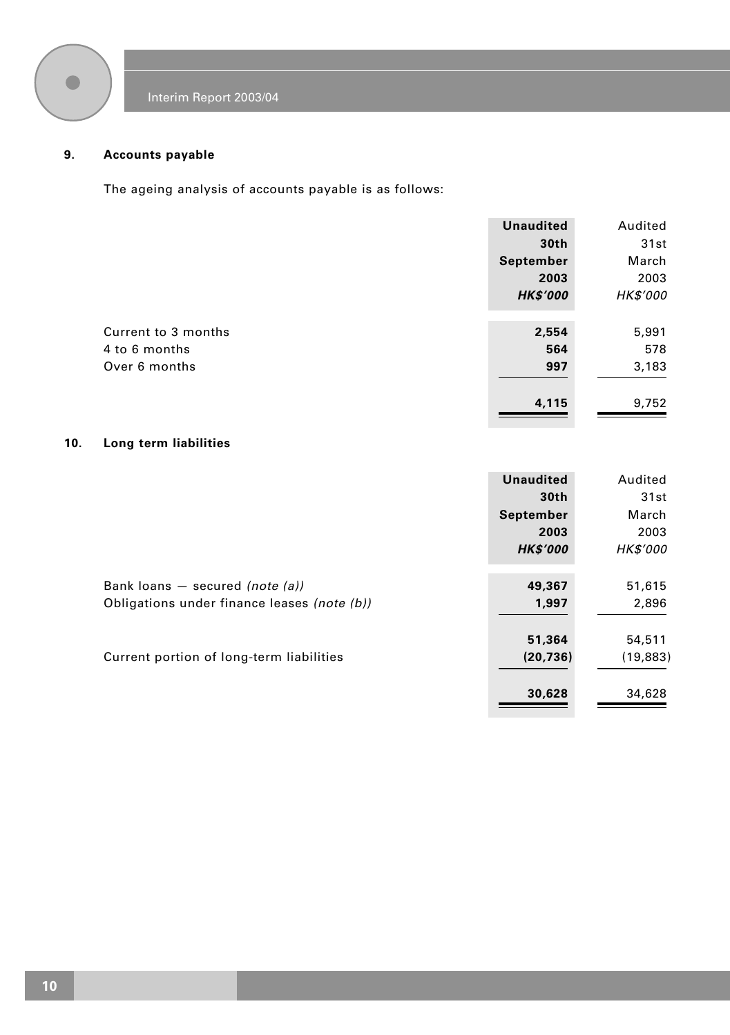

### **9. Accounts payable**

The ageing analysis of accounts payable is as follows:

|                     | <b>Unaudited</b> | Audited  |
|---------------------|------------------|----------|
|                     | 30th             | 31st     |
|                     | September        | March    |
|                     | 2003             | 2003     |
|                     | <b>HK\$'000</b>  | HK\$'000 |
|                     |                  |          |
| Current to 3 months | 2,554            | 5,991    |
| 4 to 6 months       | 564              | 578      |
| Over 6 months       | 997              | 3,183    |
|                     | 4,115            | 9,752    |
|                     |                  |          |

### **10. Long term liabilities**

|                                             | <b>Unaudited</b> | Audited         |
|---------------------------------------------|------------------|-----------------|
|                                             | 30th             | 31st            |
|                                             | September        | March           |
|                                             | 2003             | 2003            |
|                                             | <b>HK\$'000</b>  | <b>HK\$'000</b> |
|                                             |                  |                 |
| Bank loans $-$ secured (note (a))           | 49,367           | 51,615          |
| Obligations under finance leases (note (b)) | 1,997            | 2,896           |
|                                             |                  |                 |
|                                             | 51,364           | 54,511          |
| Current portion of long-term liabilities    | (20, 736)        | (19, 883)       |
|                                             |                  |                 |
|                                             | 30,628           | 34,628          |
|                                             |                  |                 |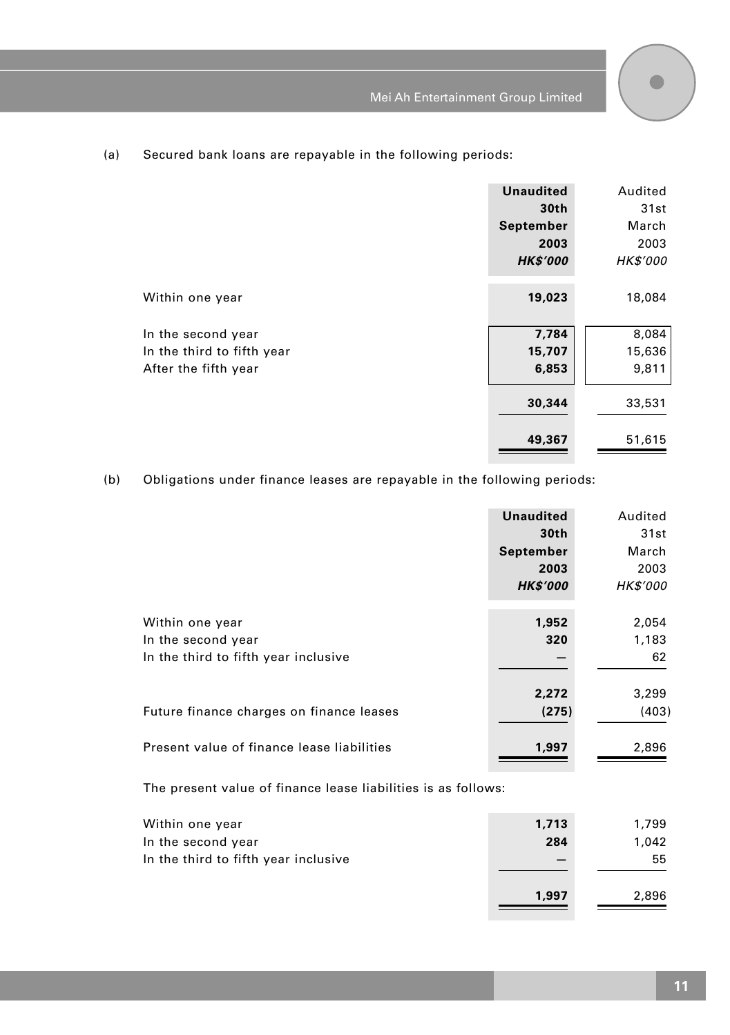

### (a) Secured bank loans are repayable in the following periods:

|                                                                          | <b>Unaudited</b><br>30th<br>September<br>2003<br><b>HK\$'000</b> | Audited<br>31st<br>March<br>2003<br><b>HK\$'000</b> |
|--------------------------------------------------------------------------|------------------------------------------------------------------|-----------------------------------------------------|
| Within one year                                                          | 19,023                                                           | 18,084                                              |
| In the second year<br>In the third to fifth year<br>After the fifth year | 7,784<br>15,707<br>6,853                                         | 8,084<br>15,636<br>9,811                            |
|                                                                          | 30,344                                                           | 33,531                                              |
|                                                                          | 49,367                                                           | 51,615                                              |

### (b) Obligations under finance leases are repayable in the following periods:

|                                            | <b>Unaudited</b> | Audited         |
|--------------------------------------------|------------------|-----------------|
|                                            | 30th             | 31st            |
|                                            | September        | March           |
|                                            | 2003             | 2003            |
|                                            | <b>HK\$'000</b>  | <b>HK\$'000</b> |
|                                            |                  |                 |
| Within one year                            | 1,952            | 2,054           |
| In the second year                         | 320              | 1,183           |
| In the third to fifth year inclusive       |                  | 62              |
|                                            | 2,272            | 3,299           |
| Future finance charges on finance leases   | (275)            | (403)           |
| Present value of finance lease liabilities | 1,997            | 2,896           |

The present value of finance lease liabilities is as follows:

| Within one year                      | 1,713 | 1,799 |
|--------------------------------------|-------|-------|
| In the second year                   | 284   | 1.042 |
| In the third to fifth year inclusive |       | 55    |
|                                      | 1.997 | 2.896 |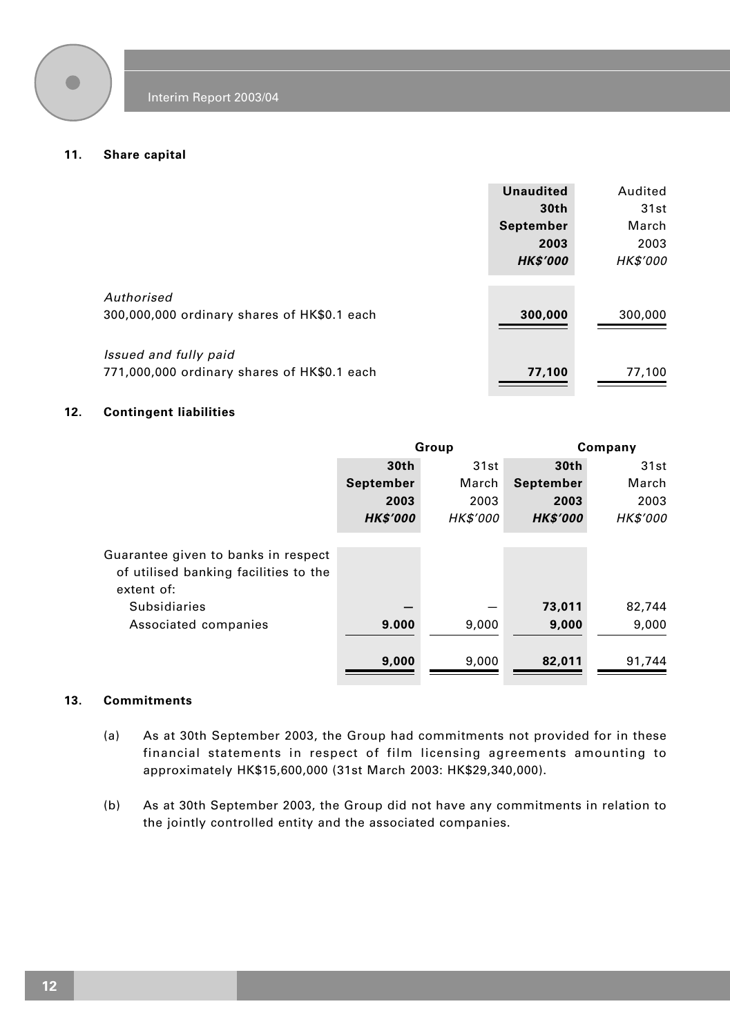

#### **11. Share capital**

|                                                                      | <b>Unaudited</b><br>30 <sub>th</sub><br>September | Audited<br>31st<br>March |
|----------------------------------------------------------------------|---------------------------------------------------|--------------------------|
|                                                                      | 2003<br><b>HK\$'000</b>                           | 2003<br><b>HK\$'000</b>  |
| Authorised<br>300,000,000 ordinary shares of HK\$0.1 each            | 300,000                                           | 300,000                  |
| Issued and fully paid<br>771,000,000 ordinary shares of HK\$0.1 each | 77,100                                            | 77,100                   |

### **12. Contingent liabilities**

|                                                                                            | Group            |                 | Company          |                 |
|--------------------------------------------------------------------------------------------|------------------|-----------------|------------------|-----------------|
|                                                                                            | 30 <sub>th</sub> | 31st            | 30 <sub>th</sub> | 31st            |
|                                                                                            | September        | March           | September        | March           |
|                                                                                            | 2003             | 2003            | 2003             | 2003            |
|                                                                                            | <b>HK\$'000</b>  | <b>HK\$'000</b> | <b>HK\$'000</b>  | <b>HK\$'000</b> |
| Guarantee given to banks in respect<br>of utilised banking facilities to the<br>extent of: |                  |                 |                  |                 |
| <b>Subsidiaries</b>                                                                        |                  |                 | 73,011           | 82,744          |
| Associated companies                                                                       | 9.000            | 9,000           | 9,000            | 9,000           |
|                                                                                            | 9,000            | 9,000           | 82,011           | 91,744          |

#### **13. Commitments**

- (a) As at 30th September 2003, the Group had commitments not provided for in these financial statements in respect of film licensing agreements amounting to approximately HK\$15,600,000 (31st March 2003: HK\$29,340,000).
- (b) As at 30th September 2003, the Group did not have any commitments in relation to the jointly controlled entity and the associated companies.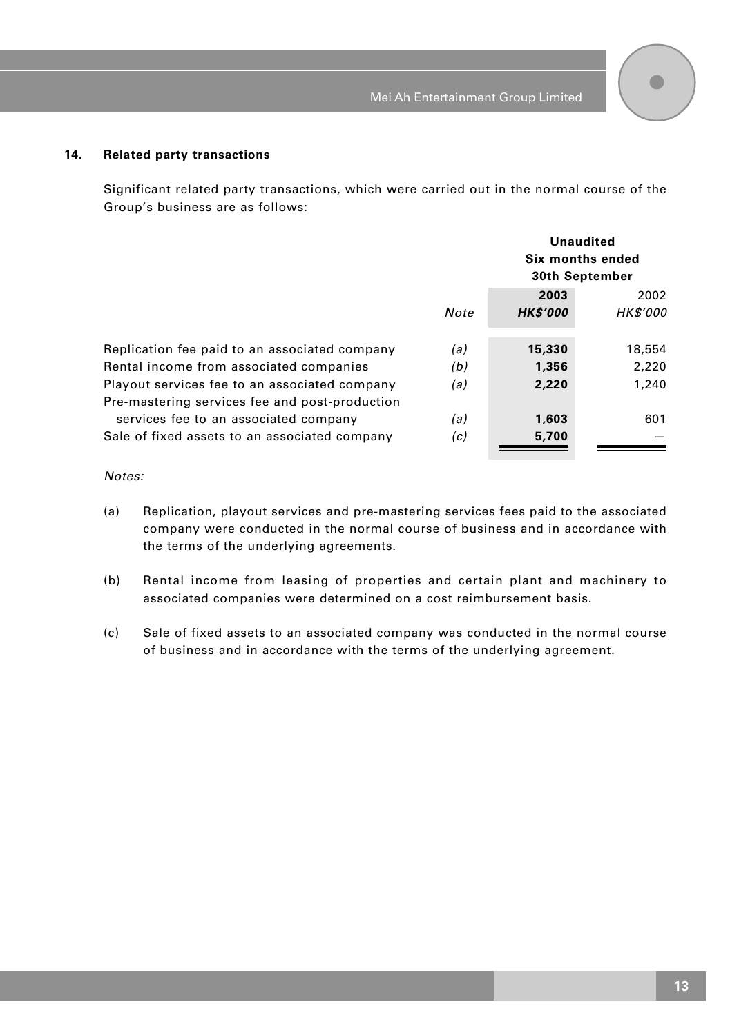#### **14. Related party transactions**

Significant related party transactions, which were carried out in the normal course of the Group's business are as follows:

|                                                                                                 |      | Unaudited<br>Six months ended<br>30th September |                 |
|-------------------------------------------------------------------------------------------------|------|-------------------------------------------------|-----------------|
|                                                                                                 |      | 2003                                            | 2002            |
|                                                                                                 | Note | <b>HK\$'000</b>                                 | <b>HK\$'000</b> |
| Replication fee paid to an associated company                                                   | (a)  | 15,330                                          | 18,554          |
| Rental income from associated companies                                                         | (b)  | 1,356                                           | 2,220           |
| Playout services fee to an associated company<br>Pre-mastering services fee and post-production | (a)  | 2,220                                           | 1,240           |
| services fee to an associated company                                                           | (a)  | 1.603                                           | 601             |
| Sale of fixed assets to an associated company                                                   | (c)  | 5,700                                           |                 |

Notes:

- (a) Replication, playout services and pre-mastering services fees paid to the associated company were conducted in the normal course of business and in accordance with the terms of the underlying agreements.
- (b) Rental income from leasing of properties and certain plant and machinery to associated companies were determined on a cost reimbursement basis.
- (c) Sale of fixed assets to an associated company was conducted in the normal course of business and in accordance with the terms of the underlying agreement.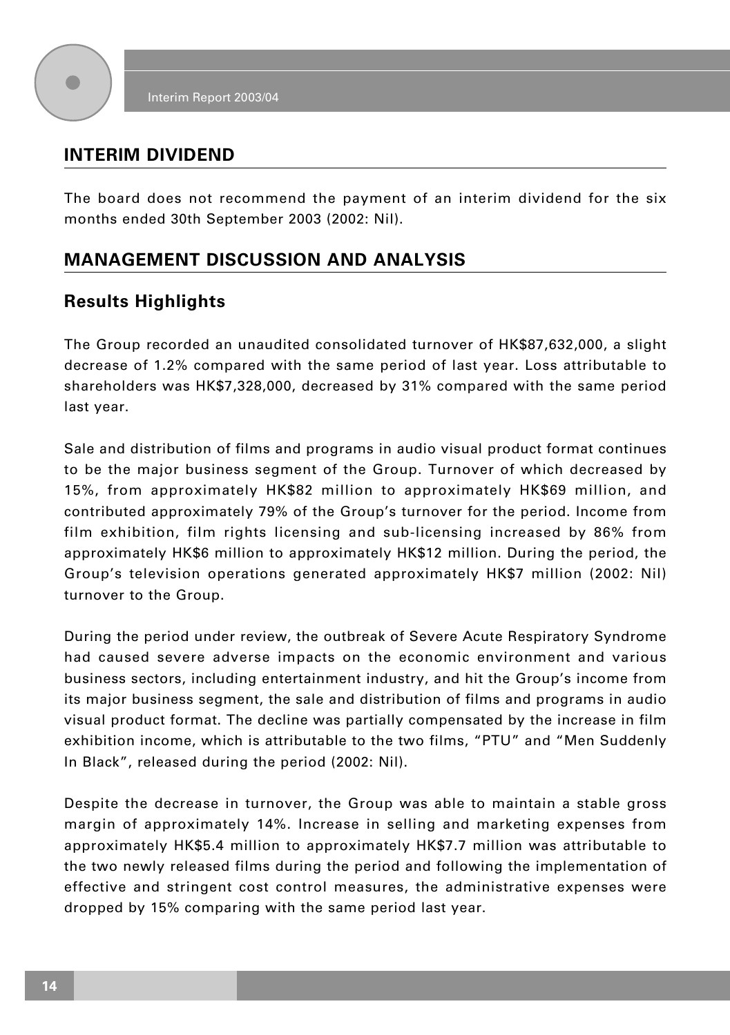

## **INTERIM DIVIDEND**

The board does not recommend the payment of an interim dividend for the six months ended 30th September 2003 (2002: Nil).

# **MANAGEMENT DISCUSSION AND ANALYSIS**

## **Results Highlights**

The Group recorded an unaudited consolidated turnover of HK\$87,632,000, a slight decrease of 1.2% compared with the same period of last year. Loss attributable to shareholders was HK\$7,328,000, decreased by 31% compared with the same period last year.

Sale and distribution of films and programs in audio visual product format continues to be the major business segment of the Group. Turnover of which decreased by 15%, from approximately HK\$82 million to approximately HK\$69 million, and contributed approximately 79% of the Group's turnover for the period. Income from film exhibition, film rights licensing and sub-licensing increased by 86% from approximately HK\$6 million to approximately HK\$12 million. During the period, the Group's television operations generated approximately HK\$7 million (2002: Nil) turnover to the Group.

During the period under review, the outbreak of Severe Acute Respiratory Syndrome had caused severe adverse impacts on the economic environment and various business sectors, including entertainment industry, and hit the Group's income from its major business segment, the sale and distribution of films and programs in audio visual product format. The decline was partially compensated by the increase in film exhibition income, which is attributable to the two films, "PTU" and "Men Suddenly In Black", released during the period (2002: Nil).

Despite the decrease in turnover, the Group was able to maintain a stable gross margin of approximately 14%. Increase in selling and marketing expenses from approximately HK\$5.4 million to approximately HK\$7.7 million was attributable to the two newly released films during the period and following the implementation of effective and stringent cost control measures, the administrative expenses were dropped by 15% comparing with the same period last year.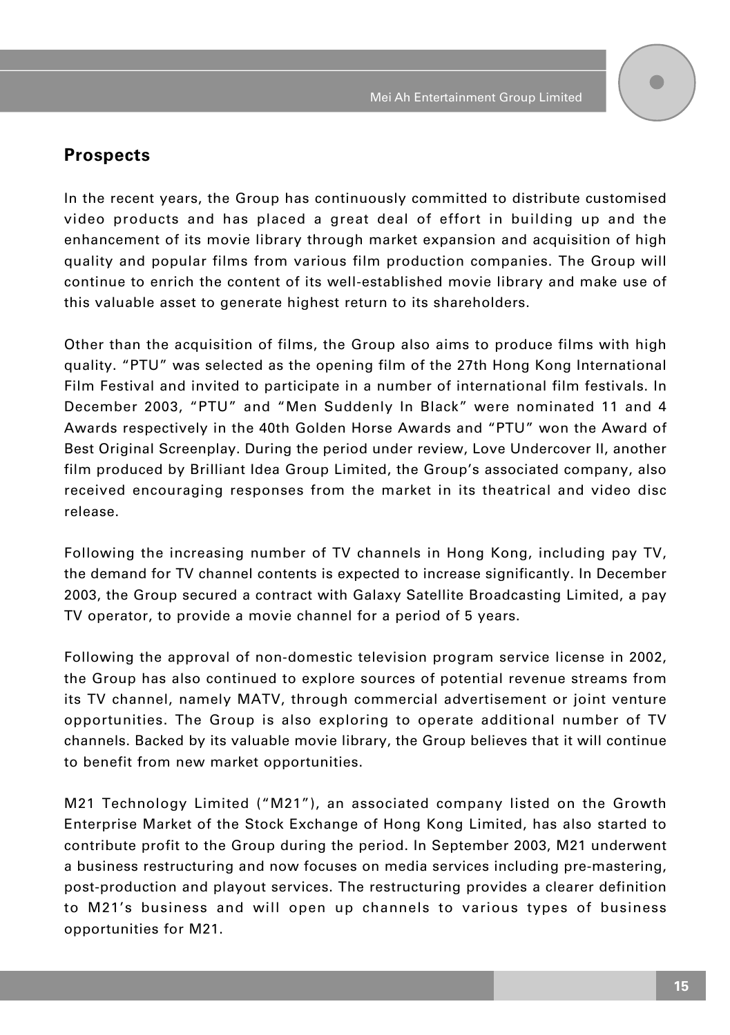

### **Prospects**

In the recent years, the Group has continuously committed to distribute customised video products and has placed a great deal of effort in building up and the enhancement of its movie library through market expansion and acquisition of high quality and popular films from various film production companies. The Group will continue to enrich the content of its well-established movie library and make use of this valuable asset to generate highest return to its shareholders.

Other than the acquisition of films, the Group also aims to produce films with high quality. "PTU" was selected as the opening film of the 27th Hong Kong International Film Festival and invited to participate in a number of international film festivals. In December 2003, "PTU" and "Men Suddenly In Black" were nominated 11 and 4 Awards respectively in the 40th Golden Horse Awards and "PTU" won the Award of Best Original Screenplay. During the period under review, Love Undercover II, another film produced by Brilliant Idea Group Limited, the Group's associated company, also received encouraging responses from the market in its theatrical and video disc release.

Following the increasing number of TV channels in Hong Kong, including pay TV, the demand for TV channel contents is expected to increase significantly. In December 2003, the Group secured a contract with Galaxy Satellite Broadcasting Limited, a pay TV operator, to provide a movie channel for a period of 5 years.

Following the approval of non-domestic television program service license in 2002, the Group has also continued to explore sources of potential revenue streams from its TV channel, namely MATV, through commercial advertisement or joint venture opportunities. The Group is also exploring to operate additional number of TV channels. Backed by its valuable movie library, the Group believes that it will continue to benefit from new market opportunities.

M21 Technology Limited ("M21"), an associated company listed on the Growth Enterprise Market of the Stock Exchange of Hong Kong Limited, has also started to contribute profit to the Group during the period. In September 2003, M21 underwent a business restructuring and now focuses on media services including pre-mastering, post-production and playout services. The restructuring provides a clearer definition to M21's business and will open up channels to various types of business opportunities for M21.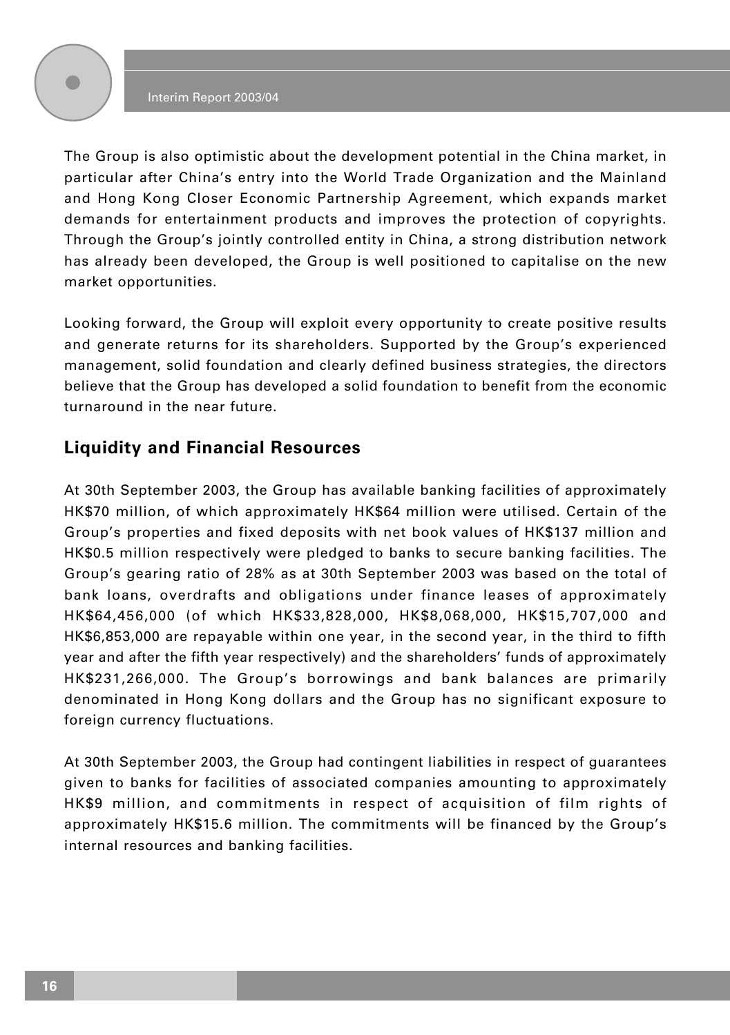The Group is also optimistic about the development potential in the China market, in particular after China's entry into the World Trade Organization and the Mainland and Hong Kong Closer Economic Partnership Agreement, which expands market demands for entertainment products and improves the protection of copyrights. Through the Group's jointly controlled entity in China, a strong distribution network has already been developed, the Group is well positioned to capitalise on the new market opportunities.

Looking forward, the Group will exploit every opportunity to create positive results and generate returns for its shareholders. Supported by the Group's experienced management, solid foundation and clearly defined business strategies, the directors believe that the Group has developed a solid foundation to benefit from the economic turnaround in the near future.

## **Liquidity and Financial Resources**

At 30th September 2003, the Group has available banking facilities of approximately HK\$70 million, of which approximately HK\$64 million were utilised. Certain of the Group's properties and fixed deposits with net book values of HK\$137 million and HK\$0.5 million respectively were pledged to banks to secure banking facilities. The Group's gearing ratio of 28% as at 30th September 2003 was based on the total of bank loans, overdrafts and obligations under finance leases of approximately HK\$64,456,000 (of which HK\$33,828,000, HK\$8,068,000, HK\$15,707,000 and HK\$6,853,000 are repayable within one year, in the second year, in the third to fifth year and after the fifth year respectively) and the shareholders' funds of approximately HK\$231,266,000. The Group's borrowings and bank balances are primarily denominated in Hong Kong dollars and the Group has no significant exposure to foreign currency fluctuations.

At 30th September 2003, the Group had contingent liabilities in respect of guarantees given to banks for facilities of associated companies amounting to approximately HK\$9 million, and commitments in respect of acquisition of film rights of approximately HK\$15.6 million. The commitments will be financed by the Group's internal resources and banking facilities.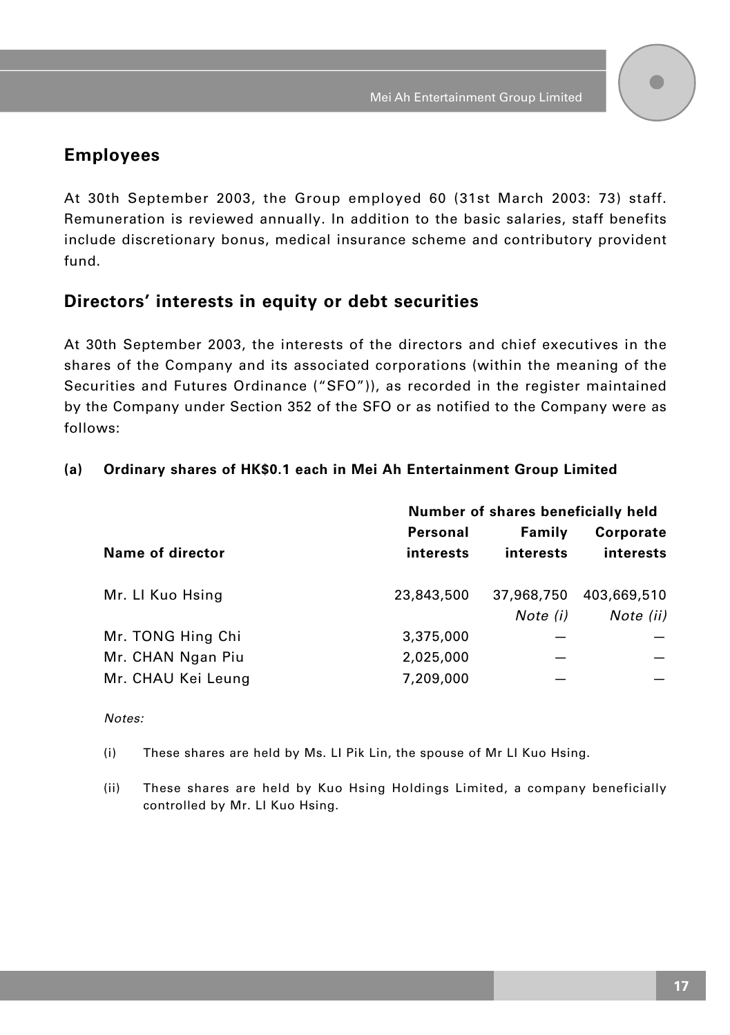## **Employees**

At 30th September 2003, the Group employed 60 (31st March 2003: 73) staff. Remuneration is reviewed annually. In addition to the basic salaries, staff benefits include discretionary bonus, medical insurance scheme and contributory provident fund.

### **Directors' interests in equity or debt securities**

At 30th September 2003, the interests of the directors and chief executives in the shares of the Company and its associated corporations (within the meaning of the Securities and Futures Ordinance ("SFO")), as recorded in the register maintained by the Company under Section 352 of the SFO or as notified to the Company were as follows:

### **(a) Ordinary shares of HK\$0.1 each in Mei Ah Entertainment Group Limited**

|                    | Number of shares beneficially held |            |                  |
|--------------------|------------------------------------|------------|------------------|
|                    | Personal                           | Family     | <b>Corporate</b> |
| Name of director   | interests                          | interests  | interests        |
| Mr. LI Kuo Hsing   | 23,843,500                         | 37,968,750 | 403,669,510      |
|                    |                                    | Note (i)   | Note (ii)        |
| Mr. TONG Hing Chi  | 3,375,000                          |            |                  |
| Mr. CHAN Ngan Piu  | 2,025,000                          |            |                  |
| Mr. CHAU Kei Leung | 7,209,000                          |            |                  |

#### Notes:

(i) These shares are held by Ms. LI Pik Lin, the spouse of Mr LI Kuo Hsing.

(ii) These shares are held by Kuo Hsing Holdings Limited, a company beneficially controlled by Mr. LI Kuo Hsing.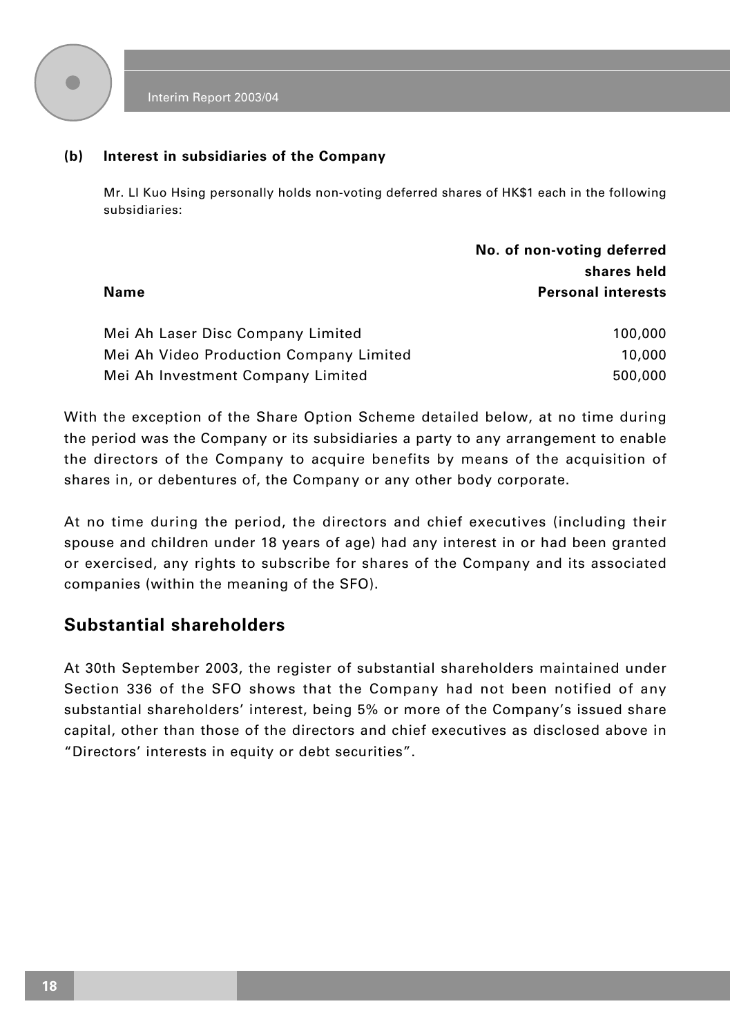

### **(b) Interest in subsidiaries of the Company**

Mr. LI Kuo Hsing personally holds non-voting deferred shares of HK\$1 each in the following subsidiaries:

|                                         | No. of non-voting deferred |
|-----------------------------------------|----------------------------|
|                                         | shares held                |
| Name                                    | <b>Personal interests</b>  |
|                                         |                            |
| Mei Ah Laser Disc Company Limited       | 100,000                    |
| Mei Ah Video Production Company Limited | 10,000                     |
| Mei Ah Investment Company Limited       | 500,000                    |

With the exception of the Share Option Scheme detailed below, at no time during the period was the Company or its subsidiaries a party to any arrangement to enable the directors of the Company to acquire benefits by means of the acquisition of shares in, or debentures of, the Company or any other body corporate.

At no time during the period, the directors and chief executives (including their spouse and children under 18 years of age) had any interest in or had been granted or exercised, any rights to subscribe for shares of the Company and its associated companies (within the meaning of the SFO).

## **Substantial shareholders**

At 30th September 2003, the register of substantial shareholders maintained under Section 336 of the SFO shows that the Company had not been notified of any substantial shareholders' interest, being 5% or more of the Company's issued share capital, other than those of the directors and chief executives as disclosed above in "Directors' interests in equity or debt securities".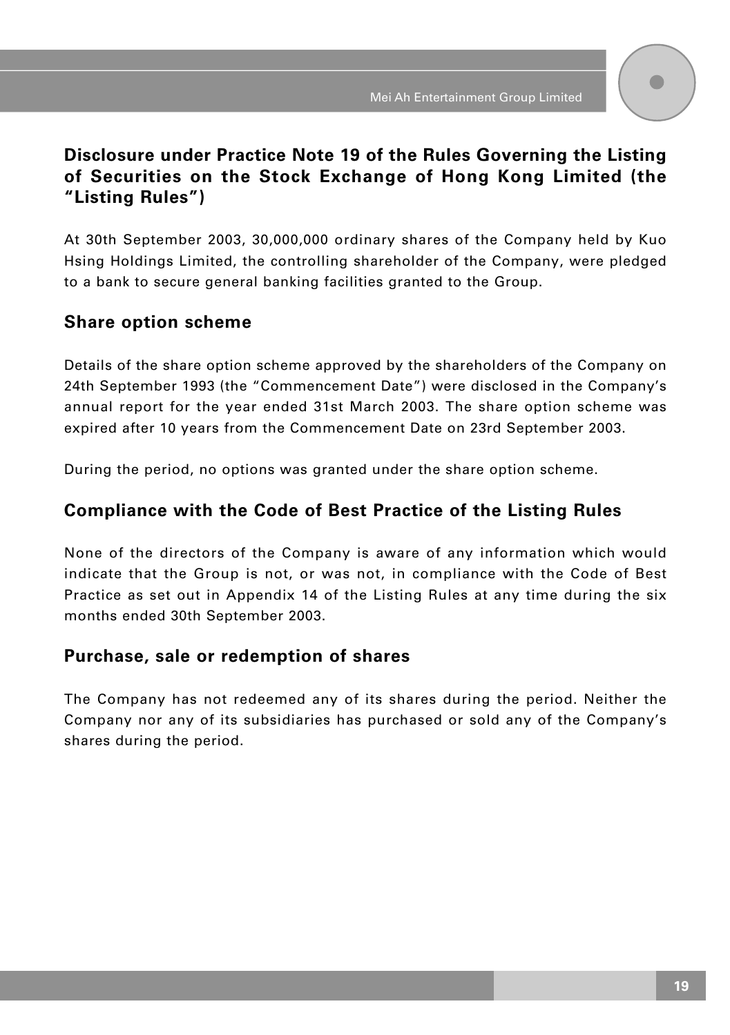## **Disclosure under Practice Note 19 of the Rules Governing the Listing of Securities on the Stock Exchange of Hong Kong Limited (the "Listing Rules")**

At 30th September 2003, 30,000,000 ordinary shares of the Company held by Kuo Hsing Holdings Limited, the controlling shareholder of the Company, were pledged to a bank to secure general banking facilities granted to the Group.

## **Share option scheme**

Details of the share option scheme approved by the shareholders of the Company on 24th September 1993 (the "Commencement Date") were disclosed in the Company's annual report for the year ended 31st March 2003. The share option scheme was expired after 10 years from the Commencement Date on 23rd September 2003.

During the period, no options was granted under the share option scheme.

## **Compliance with the Code of Best Practice of the Listing Rules**

None of the directors of the Company is aware of any information which would indicate that the Group is not, or was not, in compliance with the Code of Best Practice as set out in Appendix 14 of the Listing Rules at any time during the six months ended 30th September 2003.

## **Purchase, sale or redemption of shares**

The Company has not redeemed any of its shares during the period. Neither the Company nor any of its subsidiaries has purchased or sold any of the Company's shares during the period.